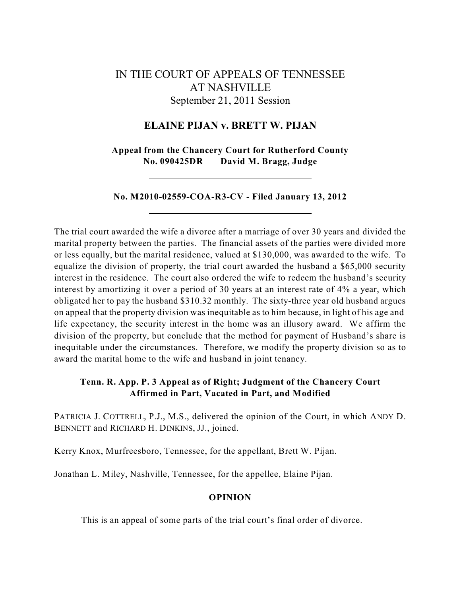# IN THE COURT OF APPEALS OF TENNESSEE AT NASHVILLE September 21, 2011 Session

## **ELAINE PIJAN v. BRETT W. PIJAN**

**Appeal from the Chancery Court for Rutherford County No. 090425DR David M. Bragg, Judge**

**No. M2010-02559-COA-R3-CV - Filed January 13, 2012**

The trial court awarded the wife a divorce after a marriage of over 30 years and divided the marital property between the parties. The financial assets of the parties were divided more or less equally, but the marital residence, valued at \$130,000, was awarded to the wife. To equalize the division of property, the trial court awarded the husband a \$65,000 security interest in the residence. The court also ordered the wife to redeem the husband's security interest by amortizing it over a period of 30 years at an interest rate of 4% a year, which obligated her to pay the husband \$310.32 monthly. The sixty-three year old husband argues on appeal that the property division was inequitable as to him because, in light of his age and life expectancy, the security interest in the home was an illusory award. We affirm the division of the property, but conclude that the method for payment of Husband's share is inequitable under the circumstances. Therefore, we modify the property division so as to award the marital home to the wife and husband in joint tenancy.

## **Tenn. R. App. P. 3 Appeal as of Right; Judgment of the Chancery Court Affirmed in Part, Vacated in Part, and Modified**

PATRICIA J. COTTRELL, P.J., M.S., delivered the opinion of the Court, in which ANDY D. BENNETT and RICHARD H. DINKINS, JJ., joined.

Kerry Knox, Murfreesboro, Tennessee, for the appellant, Brett W. Pijan.

Jonathan L. Miley, Nashville, Tennessee, for the appellee, Elaine Pijan.

## **OPINION**

This is an appeal of some parts of the trial court's final order of divorce.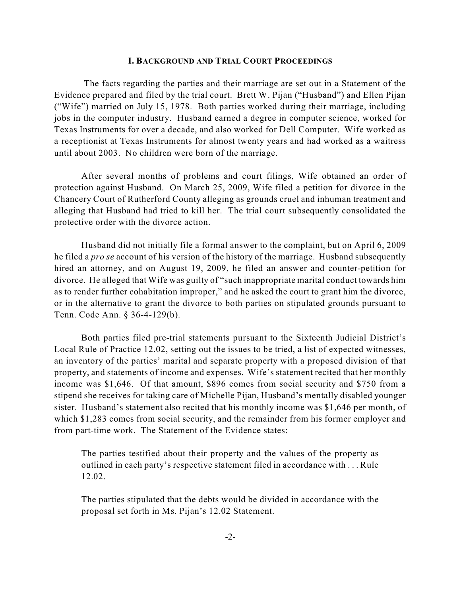### **I. BACKGROUND AND TRIAL COURT PROCEEDINGS**

The facts regarding the parties and their marriage are set out in a Statement of the Evidence prepared and filed by the trial court. Brett W. Pijan ("Husband") and Ellen Pijan ("Wife") married on July 15, 1978. Both parties worked during their marriage, including jobs in the computer industry. Husband earned a degree in computer science, worked for Texas Instruments for over a decade, and also worked for Dell Computer. Wife worked as a receptionist at Texas Instruments for almost twenty years and had worked as a waitress until about 2003. No children were born of the marriage.

After several months of problems and court filings, Wife obtained an order of protection against Husband. On March 25, 2009, Wife filed a petition for divorce in the Chancery Court of Rutherford County alleging as grounds cruel and inhuman treatment and alleging that Husband had tried to kill her. The trial court subsequently consolidated the protective order with the divorce action.

Husband did not initially file a formal answer to the complaint, but on April 6, 2009 he filed a *pro se* account of his version of the history of the marriage. Husband subsequently hired an attorney, and on August 19, 2009, he filed an answer and counter-petition for divorce. He alleged that Wife was guilty of "such inappropriate marital conduct towards him as to render further cohabitation improper," and he asked the court to grant him the divorce, or in the alternative to grant the divorce to both parties on stipulated grounds pursuant to Tenn. Code Ann. § 36-4-129(b).

Both parties filed pre-trial statements pursuant to the Sixteenth Judicial District's Local Rule of Practice 12.02, setting out the issues to be tried, a list of expected witnesses, an inventory of the parties' marital and separate property with a proposed division of that property, and statements of income and expenses. Wife's statement recited that her monthly income was \$1,646. Of that amount, \$896 comes from social security and \$750 from a stipend she receives for taking care of Michelle Pijan, Husband's mentally disabled younger sister. Husband's statement also recited that his monthly income was \$1,646 per month, of which \$1,283 comes from social security, and the remainder from his former employer and from part-time work. The Statement of the Evidence states:

The parties testified about their property and the values of the property as outlined in each party's respective statement filed in accordance with . . . Rule 12.02.

The parties stipulated that the debts would be divided in accordance with the proposal set forth in Ms. Pijan's 12.02 Statement.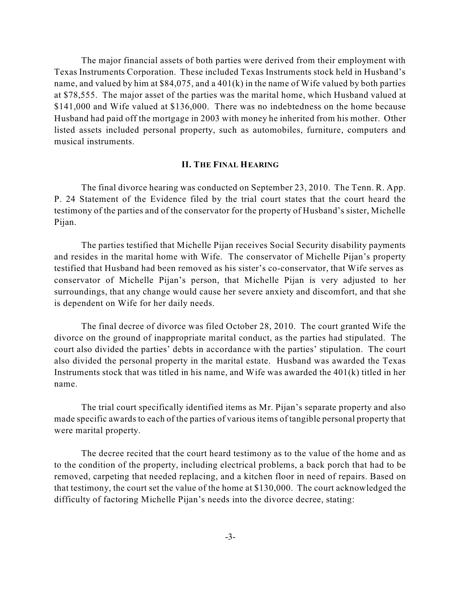The major financial assets of both parties were derived from their employment with Texas Instruments Corporation. These included Texas Instruments stock held in Husband's name, and valued by him at \$84,075, and a 401(k) in the name of Wife valued by both parties at \$78,555. The major asset of the parties was the marital home, which Husband valued at \$141,000 and Wife valued at \$136,000. There was no indebtedness on the home because Husband had paid off the mortgage in 2003 with money he inherited from his mother. Other listed assets included personal property, such as automobiles, furniture, computers and musical instruments.

#### **II. THE FINAL HEARING**

The final divorce hearing was conducted on September 23, 2010. The Tenn. R. App. P. 24 Statement of the Evidence filed by the trial court states that the court heard the testimony of the parties and of the conservator for the property of Husband's sister, Michelle Pijan.

The parties testified that Michelle Pijan receives Social Security disability payments and resides in the marital home with Wife. The conservator of Michelle Pijan's property testified that Husband had been removed as his sister's co-conservator, that Wife serves as conservator of Michelle Pijan's person, that Michelle Pijan is very adjusted to her surroundings, that any change would cause her severe anxiety and discomfort, and that she is dependent on Wife for her daily needs.

The final decree of divorce was filed October 28, 2010. The court granted Wife the divorce on the ground of inappropriate marital conduct, as the parties had stipulated. The court also divided the parties' debts in accordance with the parties' stipulation. The court also divided the personal property in the marital estate. Husband was awarded the Texas Instruments stock that was titled in his name, and Wife was awarded the 401(k) titled in her name.

The trial court specifically identified items as Mr. Pijan's separate property and also made specific awards to each of the parties of various items of tangible personal property that were marital property.

The decree recited that the court heard testimony as to the value of the home and as to the condition of the property, including electrical problems, a back porch that had to be removed, carpeting that needed replacing, and a kitchen floor in need of repairs. Based on that testimony, the court set the value of the home at \$130,000. The court acknowledged the difficulty of factoring Michelle Pijan's needs into the divorce decree, stating: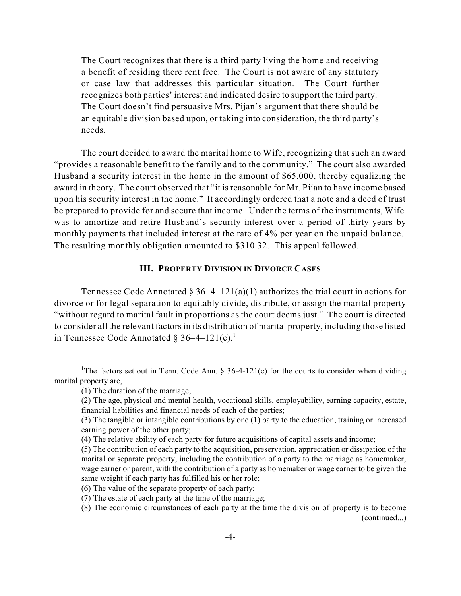The Court recognizes that there is a third party living the home and receiving a benefit of residing there rent free. The Court is not aware of any statutory or case law that addresses this particular situation. The Court further recognizes both parties' interest and indicated desire to support the third party. The Court doesn't find persuasive Mrs. Pijan's argument that there should be an equitable division based upon, or taking into consideration, the third party's needs.

The court decided to award the marital home to Wife, recognizing that such an award "provides a reasonable benefit to the family and to the community." The court also awarded Husband a security interest in the home in the amount of \$65,000, thereby equalizing the award in theory. The court observed that "it is reasonable for Mr. Pijan to have income based upon his security interest in the home." It accordingly ordered that a note and a deed of trust be prepared to provide for and secure that income. Under the terms of the instruments, Wife was to amortize and retire Husband's security interest over a period of thirty years by monthly payments that included interest at the rate of 4% per year on the unpaid balance. The resulting monthly obligation amounted to \$310.32. This appeal followed.

## **III. PROPERTY DIVISION IN DIVORCE CASES**

Tennessee Code Annotated  $\S 36-4-121(a)(1)$  authorizes the trial court in actions for divorce or for legal separation to equitably divide, distribute, or assign the marital property "without regard to marital fault in proportions as the court deems just." The court is directed to consider all the relevant factors in its distribution of marital property, including those listed in Tennessee Code Annotated  $\S 36-4-121(c).$ <sup>1</sup>

<sup>&</sup>lt;sup>1</sup>The factors set out in Tenn. Code Ann.  $\S 36-4-121(c)$  for the courts to consider when dividing marital property are,

<sup>(1)</sup> The duration of the marriage;

<sup>(2)</sup> The age, physical and mental health, vocational skills, employability, earning capacity, estate, financial liabilities and financial needs of each of the parties;

<sup>(3)</sup> The tangible or intangible contributions by one (1) party to the education, training or increased earning power of the other party;

<sup>(4)</sup> The relative ability of each party for future acquisitions of capital assets and income;

<sup>(5)</sup> The contribution of each party to the acquisition, preservation, appreciation or dissipation of the marital or separate property, including the contribution of a party to the marriage as homemaker, wage earner or parent, with the contribution of a party as homemaker or wage earner to be given the same weight if each party has fulfilled his or her role;

<sup>(6)</sup> The value of the separate property of each party;

<sup>(7)</sup> The estate of each party at the time of the marriage;

<sup>(8)</sup> The economic circumstances of each party at the time the division of property is to become (continued...)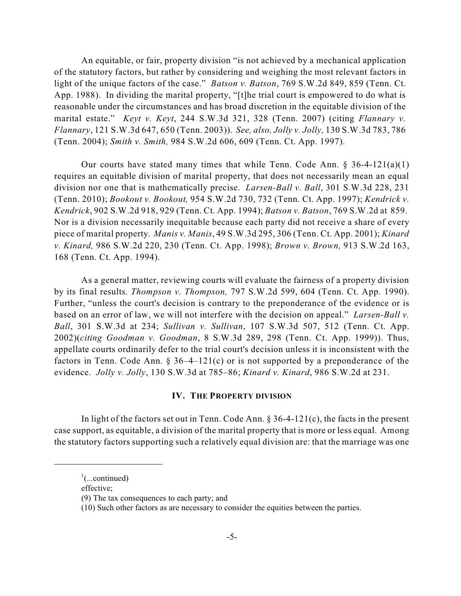An equitable, or fair, property division "is not achieved by a mechanical application of the statutory factors, but rather by considering and weighing the most relevant factors in light of the unique factors of the case." *Batson v. Batson*, 769 S.W.2d 849, 859 (Tenn. Ct. App. 1988). In dividing the marital property, "[t]he trial court is empowered to do what is reasonable under the circumstances and has broad discretion in the equitable division of the marital estate." *Keyt v. Keyt*, 244 S.W.3d 321, 328 (Tenn. 2007) (citing *Flannary v. Flannary*, 121 S.W.3d 647, 650 (Tenn. 2003)). *See, also, Jolly v. Jolly,* 130 S.W.3d 783, 786 (Tenn. 2004); *Smith v. Smith,* 984 S.W.2d 606, 609 (Tenn. Ct. App. 1997).

Our courts have stated many times that while Tenn. Code Ann.  $\S 36-4-121(a)(1)$ requires an equitable division of marital property, that does not necessarily mean an equal division nor one that is mathematically precise. *Larsen-Ball v. Ball*, 301 S.W.3d 228, 231 (Tenn. 2010); *Bookout v. Bookout,* 954 S.W.2d 730, 732 (Tenn. Ct. App. 1997); *Kendrick v. Kendrick*, 902 S.W.2d 918, 929 (Tenn. Ct. App. 1994); *Batson v. Batson*, 769 S.W.2d at 859. Nor is a division necessarily inequitable because each party did not receive a share of every piece of marital property. *Manis v. Manis*, 49 S.W.3d 295, 306 (Tenn. Ct. App. 2001); *Kinard v. Kinard,* 986 S.W.2d 220, 230 (Tenn. Ct. App. 1998); *Brown v. Brown,* 913 S.W.2d 163, 168 (Tenn. Ct. App. 1994).

As a general matter, reviewing courts will evaluate the fairness of a property division by its final results. *Thompson v. Thompson,* 797 S.W.2d 599, 604 (Tenn. Ct. App. 1990). Further, "unless the court's decision is contrary to the preponderance of the evidence or is based on an error of law, we will not interfere with the decision on appeal." *Larsen-Ball v. Ball*, 301 S.W.3d at 234; *Sullivan v. Sullivan*, 107 S.W.3d 507, 512 (Tenn. Ct. App. 2002)(*citing Goodman v. Goodman*, 8 S.W.3d 289, 298 (Tenn. Ct. App. 1999)). Thus, appellate courts ordinarily defer to the trial court's decision unless it is inconsistent with the factors in Tenn. Code Ann.  $\S 36-4-121(c)$  or is not supported by a preponderance of the evidence. *Jolly v. Jolly*, 130 S.W.3d at 785–86; *Kinard v. Kinard*, 986 S.W.2d at 231.

## **IV. THE PROPERTY DIVISION**

In light of the factors set out in Tenn. Code Ann.  $\S 36-4-121(c)$ , the facts in the present case support, as equitable, a division of the marital property that is more or less equal. Among the statutory factors supporting such a relatively equal division are: that the marriage was one

effective;

 $\frac{1}{2}$ (...continued)

<sup>(9)</sup> The tax consequences to each party; and

<sup>(10)</sup> Such other factors as are necessary to consider the equities between the parties.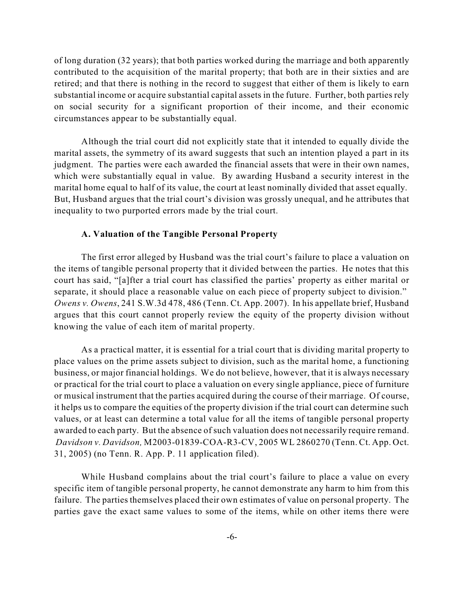of long duration (32 years); that both parties worked during the marriage and both apparently contributed to the acquisition of the marital property; that both are in their sixties and are retired; and that there is nothing in the record to suggest that either of them is likely to earn substantial income or acquire substantial capital assets in the future. Further, both parties rely on social security for a significant proportion of their income, and their economic circumstances appear to be substantially equal.

Although the trial court did not explicitly state that it intended to equally divide the marital assets, the symmetry of its award suggests that such an intention played a part in its judgment. The parties were each awarded the financial assets that were in their own names, which were substantially equal in value. By awarding Husband a security interest in the marital home equal to half of its value, the court at least nominally divided that asset equally. But, Husband argues that the trial court's division was grossly unequal, and he attributes that inequality to two purported errors made by the trial court.

## **A. Valuation of the Tangible Personal Property**

The first error alleged by Husband was the trial court's failure to place a valuation on the items of tangible personal property that it divided between the parties. He notes that this court has said, "[a]fter a trial court has classified the parties' property as either marital or separate, it should place a reasonable value on each piece of property subject to division." *Owens v. Owens*, 241 S.W.3d 478, 486 (Tenn. Ct. App. 2007). In his appellate brief, Husband argues that this court cannot properly review the equity of the property division without knowing the value of each item of marital property.

As a practical matter, it is essential for a trial court that is dividing marital property to place values on the prime assets subject to division, such as the marital home, a functioning business, or major financial holdings. We do not believe, however, that it is always necessary or practical for the trial court to place a valuation on every single appliance, piece of furniture or musical instrument that the parties acquired during the course of their marriage. Of course, it helps us to compare the equities of the property division if the trial court can determine such values, or at least can determine a total value for all the items of tangible personal property awarded to each party. But the absence of such valuation does not necessarily require remand. *Davidson v. Davidson,* M2003-01839-COA-R3-CV, 2005 WL 2860270 (Tenn. Ct. App. Oct. 31, 2005) (no Tenn. R. App. P. 11 application filed).

While Husband complains about the trial court's failure to place a value on every specific item of tangible personal property, he cannot demonstrate any harm to him from this failure. The parties themselves placed their own estimates of value on personal property. The parties gave the exact same values to some of the items, while on other items there were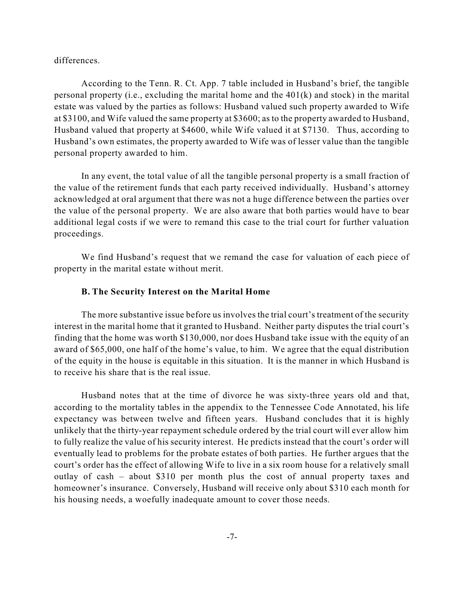differences.

According to the Tenn. R. Ct. App. 7 table included in Husband's brief, the tangible personal property (i.e., excluding the marital home and the 401(k) and stock) in the marital estate was valued by the parties as follows: Husband valued such property awarded to Wife at \$3100, and Wife valued the same property at \$3600; as to the property awarded to Husband, Husband valued that property at \$4600, while Wife valued it at \$7130. Thus, according to Husband's own estimates, the property awarded to Wife was of lesser value than the tangible personal property awarded to him.

In any event, the total value of all the tangible personal property is a small fraction of the value of the retirement funds that each party received individually. Husband's attorney acknowledged at oral argument that there was not a huge difference between the parties over the value of the personal property. We are also aware that both parties would have to bear additional legal costs if we were to remand this case to the trial court for further valuation proceedings.

We find Husband's request that we remand the case for valuation of each piece of property in the marital estate without merit.

## **B. The Security Interest on the Marital Home**

The more substantive issue before us involves the trial court's treatment of the security interest in the marital home that it granted to Husband. Neither party disputes the trial court's finding that the home was worth \$130,000, nor does Husband take issue with the equity of an award of \$65,000, one half of the home's value, to him. We agree that the equal distribution of the equity in the house is equitable in this situation. It is the manner in which Husband is to receive his share that is the real issue.

Husband notes that at the time of divorce he was sixty-three years old and that, according to the mortality tables in the appendix to the Tennessee Code Annotated, his life expectancy was between twelve and fifteen years. Husband concludes that it is highly unlikely that the thirty-year repayment schedule ordered by the trial court will ever allow him to fully realize the value of his security interest. He predicts instead that the court's order will eventually lead to problems for the probate estates of both parties. He further argues that the court's order has the effect of allowing Wife to live in a six room house for a relatively small outlay of cash – about \$310 per month plus the cost of annual property taxes and homeowner's insurance. Conversely, Husband will receive only about \$310 each month for his housing needs, a woefully inadequate amount to cover those needs.